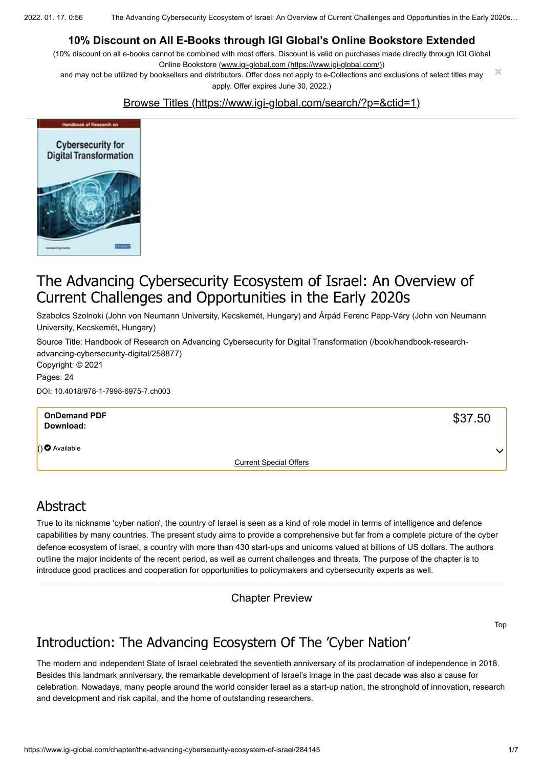2022. 01. 17. 0:56 The Advancing Cybersecurity Ecosystem of Israel: An Overview of Current Challenges and Opportunities in the Early 2020s…

#### **10% Discount on All E-Books through IGI Global's Online Bookstore Extended**

(10% discount on all e-books cannot be combined with most offers. Discount is valid on purchases made directly through IGI Global Online Bookstore ([www.igi-global.com \(https://www.igi-global.com/\)\)](https://www.igi-global.com/)

and may not be utilized by booksellers and distributors. Offer does not apply to e-Collections and exclusions of select titles may apply. Offer expires June 30, 2022.) **×**

#### [Browse Titles \(https://www.igi-global.com/search/?p=&ctid=1\)](https://www.igi-global.com/search/?p=&ctid=1)



## The Advancing Cybersecurity Ecosystem of Israel: An Overview of Current Challenges and Opportunities in the Early 2020s

Szabolcs Szolnoki (John von Neumann University, Kecskemét, Hungary) and Árpád Ferenc Papp-Váry (John von Neumann University, Kecskemét, Hungary)

[Source Title: Handbook of Research on Advancing Cybersecurity for Digital Transformation \(/book/handbook-research](https://www.igi-global.com/book/handbook-research-advancing-cybersecurity-digital/258877)advancing-cybersecurity-digital/258877) Copyright: © 2021 Pages: 24

DOI: 10.4018/978-1-7998-6975-7.ch003

| <b>OnDemand PDF</b><br>Download: |                               | \$37.50      |
|----------------------------------|-------------------------------|--------------|
| $()$ Available                   |                               | $\checkmark$ |
|                                  | <b>Current Special Offers</b> |              |

### Abstract

True to its nickname 'cyber nation', the country of Israel is seen as a kind of role model in terms of intelligence and defence capabilities by many countries. The present study aims to provide a comprehensive but far from a complete picture of the cyber defence ecosystem of Israel, a country with more than 430 start-ups and unicorns valued at billions of US dollars. The authors outline the major incidents of the recent period, as well as current challenges and threats. The purpose of the chapter is to introduce good practices and cooperation for opportunities to policymakers and cybersecurity experts as well.

Chapter Preview

Top

# Introduction: The Advancing Ecosystem Of The 'Cyber Nation'

The modern and independent State of Israel celebrated the seventieth anniversary of its proclamation of independence in 2018. Besides this landmark anniversary, the remarkable development of Israel's image in the past decade was also a cause for celebration. Nowadays, many people around the world consider Israel as a start-up nation, the stronghold of innovation, research and development and risk capital, and the home of outstanding researchers.